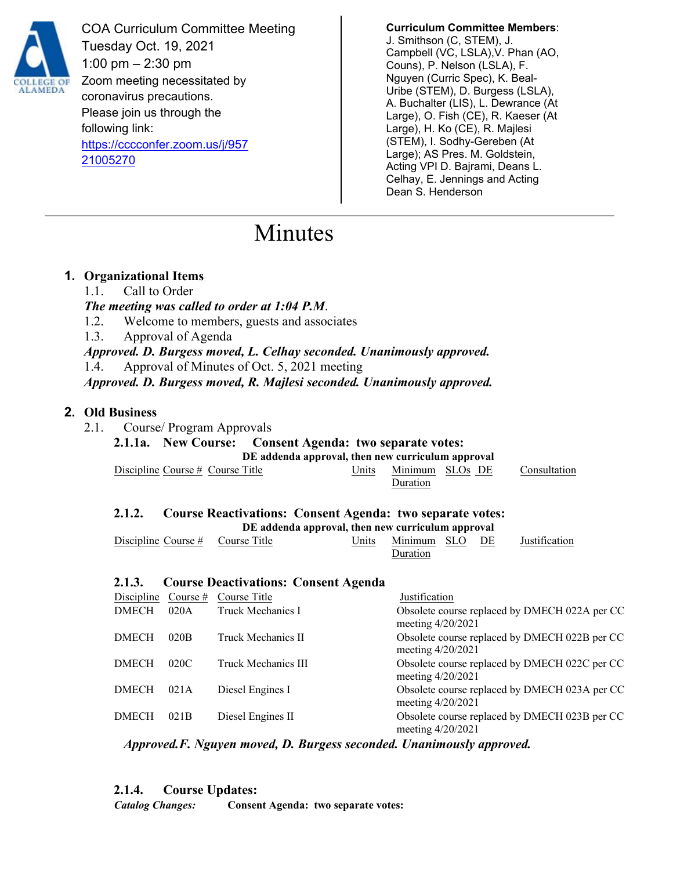

COA Curriculum Committee Meeting Tuesday Oct. 19, 2021 1:00 pm – 2:30 pm Zoom meeting necessitated by coronavirus precautions. Please join us through the following link: [https://cccconfer.zoom.us/j/957](https://cccconfer.zoom.us/j/95721005270) [21005270](https://cccconfer.zoom.us/j/95721005270)

**Curriculum Committee Members**: J. Smithson (C, STEM), J. Campbell (VC, LSLA),V. Phan (AO, Couns), P. Nelson (LSLA), F. Nguyen (Curric Spec), K. Beal-Uribe (STEM), D. Burgess (LSLA), A. Buchalter (LIS), L. Dewrance (At Large), O. Fish (CE), R. Kaeser (At Large), H. Ko (CE), R. Majlesi (STEM), I. Sodhy-Gereben (At Large); AS Pres. M. Goldstein, Acting VPI D. Bajrami, Deans L. Celhay, E. Jennings and Acting Dean S. Henderson

# Minutes

## **1. Organizational Items**

- 1.1. Call to Order
- *The meeting was called to order at 1:04 P.M*.
- 1.2. Welcome to members, guests and associates
- 1.3. Approval of Agenda

*Approved. D. Burgess moved, L. Celhay seconded. Unanimously approved.* 1.4. Approval of Minutes of Oct. 5, 2021 meeting

*Approved. D. Burgess moved, R. Majlesi seconded. Unanimously approved.*

# **2. Old Business**

2.1. Course/ Program Approvals

**2.1.1a. New Course: Consent Agenda: two separate votes: DE addenda approval, then new curriculum approval**

| Discipline Course $#$ Course Title |  |          | Units Minimum SLOs DE Consultation |
|------------------------------------|--|----------|------------------------------------|
|                                    |  | Duration |                                    |

# **2.1.2. Course Reactivations: Consent Agenda: two separate votes: DE addenda approval, then new curriculum approval**

| Discipline Course # Course Title |  |                 |  | Units Minimum SLO DE Justification |
|----------------------------------|--|-----------------|--|------------------------------------|
|                                  |  | <b>Duration</b> |  |                                    |

# **2.1.3. Course Deactivations: Consent Agenda**

| Course $#$ | Course Title        | Justification                                                        |
|------------|---------------------|----------------------------------------------------------------------|
| 020A       | Truck Mechanics I   | Obsolete course replaced by DMECH 022A per CC<br>meeting 4/20/2021   |
| 020B       | Truck Mechanics II  | Obsolete course replaced by DMECH 022B per CC<br>meeting $4/20/2021$ |
| 020C       | Truck Mechanics III | Obsolete course replaced by DMECH 022C per CC<br>meeting $4/20/2021$ |
| 021A       | Diesel Engines I    | Obsolete course replaced by DMECH 023A per CC<br>meeting $4/20/2021$ |
| 021B       | Diesel Engines II   | Obsolete course replaced by DMECH 023B per CC<br>meeting $4/20/2021$ |
|            |                     |                                                                      |

*Approved.F. Nguyen moved, D. Burgess seconded. Unanimously approved.*

### **2.1.4. Course Updates:**

*Catalog Changes:* **Consent Agenda: two separate votes:**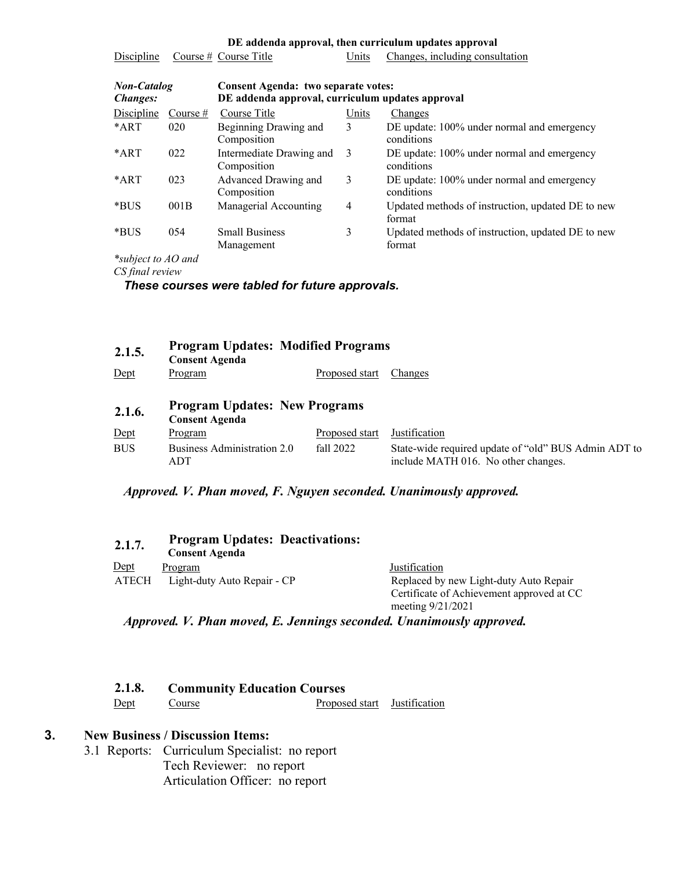| DE addenda approval, then curriculum updates approval                                                                            |            |                                         |       |                                                             |  |
|----------------------------------------------------------------------------------------------------------------------------------|------------|-----------------------------------------|-------|-------------------------------------------------------------|--|
| Discipline                                                                                                                       |            | Course $#$ Course Title                 | Units | Changes, including consultation                             |  |
| <b>Non-Catalog</b><br>Consent Agenda: two separate votes:<br>DE addenda approval, curriculum updates approval<br><i>Changes:</i> |            |                                         |       |                                                             |  |
| <b>Discipline</b>                                                                                                                | Course $#$ | Course Title                            | Units | Changes                                                     |  |
| $*ART$                                                                                                                           | 020        | Beginning Drawing and<br>Composition    | 3     | DE update: 100% under normal and emergency<br>conditions    |  |
| *ART                                                                                                                             | 022        | Intermediate Drawing and<br>Composition | 3     | DE update: 100% under normal and emergency<br>conditions    |  |
| *ART                                                                                                                             | 023        | Advanced Drawing and<br>Composition     | 3     | DE update: 100% under normal and emergency<br>conditions    |  |
| *BUS                                                                                                                             | 001B       | Managerial Accounting                   | 4     | Updated methods of instruction, updated DE to new<br>format |  |
| *BUS                                                                                                                             | 054        | <b>Small Business</b><br>Management     | 3     | Updated methods of instruction, updated DE to new<br>format |  |

*\*subject to AO and* 

*CS final review*

#### *These courses were tabled for future approvals.*

| 2.1.5.     | <b>Program Updates: Modified Programs</b><br><b>Consent Agenda</b> |                |                                                                                             |
|------------|--------------------------------------------------------------------|----------------|---------------------------------------------------------------------------------------------|
| Dept       | Program                                                            | Proposed start | Changes                                                                                     |
| 2.1.6.     | <b>Program Updates: New Programs</b><br><b>Consent Agenda</b>      |                |                                                                                             |
| $Depth$    | Program                                                            | Proposed start | Justification                                                                               |
| <b>BUS</b> | Business Administration 2.0<br>ADT                                 | fall 2022      | State-wide required update of "old" BUS Admin ADT to<br>include MATH 016. No other changes. |

## *Approved. V. Phan moved, F. Nguyen seconded. Unanimously approved.*

| 2.1.7.       | <b>Program Updates: Deactivations:</b><br><b>Consent Agenda</b> |                                                                |
|--------------|-----------------------------------------------------------------|----------------------------------------------------------------|
| <u>Dept</u>  | Program                                                         | Justification                                                  |
| <b>ATECH</b> | Light-duty Auto Repair - CP                                     | Replaced by new Light-duty Auto Repair                         |
|              |                                                                 | Certificate of Achievement approved at CC<br>meeting 9/21/2021 |

*Approved. V. Phan moved, E. Jennings seconded. Unanimously approved.*

| 2.1.8. | <b>Community Education Courses</b> |                              |  |
|--------|------------------------------------|------------------------------|--|
| Dept   | Course                             | Proposed start Justification |  |

## **3. New Business / Discussion Items:**

3.1 Reports: Curriculum Specialist: no report Tech Reviewer: no report Articulation Officer: no report